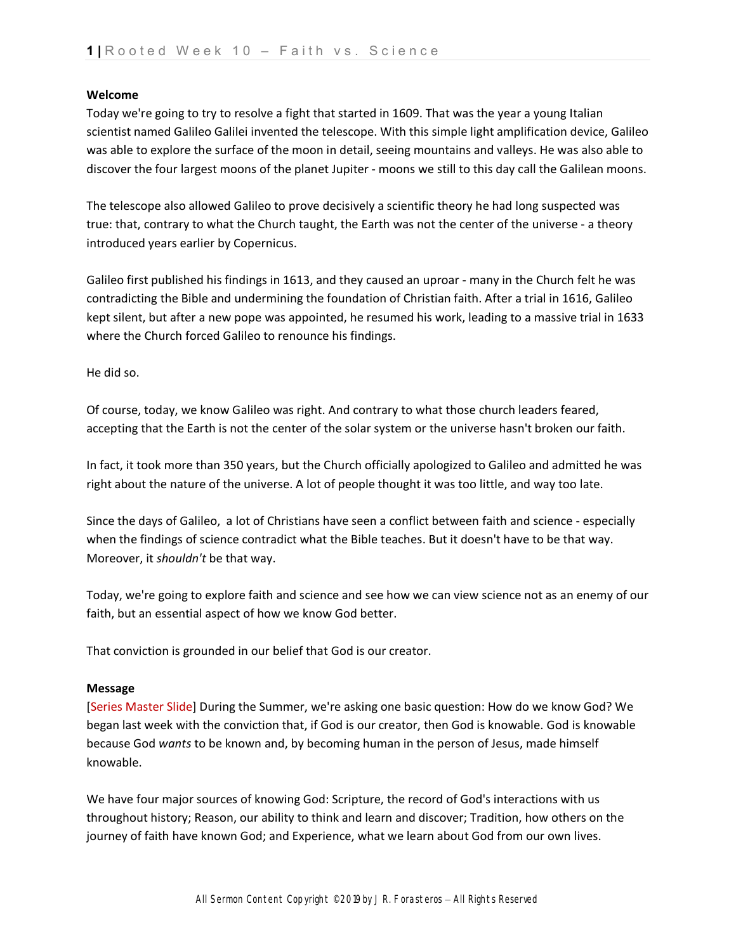## **Welcome**

Today we're going to try to resolve a fight that started in 1609. That was the year a young Italian scientist named Galileo Galilei invented the telescope. With this simple light amplification device, Galileo was able to explore the surface of the moon in detail, seeing mountains and valleys. He was also able to discover the four largest moons of the planet Jupiter - moons we still to this day call the Galilean moons.

The telescope also allowed Galileo to prove decisively a scientific theory he had long suspected was true: that, contrary to what the Church taught, the Earth was not the center of the universe - a theory introduced years earlier by Copernicus.

Galileo first published his findings in 1613, and they caused an uproar - many in the Church felt he was contradicting the Bible and undermining the foundation of Christian faith. After a trial in 1616, Galileo kept silent, but after a new pope was appointed, he resumed his work, leading to a massive trial in 1633 where the Church forced Galileo to renounce his findings.

He did so.

Of course, today, we know Galileo was right. And contrary to what those church leaders feared, accepting that the Earth is not the center of the solar system or the universe hasn't broken our faith.

In fact, it took more than 350 years, but the Church officially apologized to Galileo and admitted he was right about the nature of the universe. A lot of people thought it was too little, and way too late.

Since the days of Galileo, a lot of Christians have seen a conflict between faith and science - especially when the findings of science contradict what the Bible teaches. But it doesn't have to be that way. Moreover, it *shouldn't* be that way.

Today, we're going to explore faith and science and see how we can view science not as an enemy of our faith, but an essential aspect of how we know God better.

That conviction is grounded in our belief that God is our creator.

## **Message**

[Series Master Slide] During the Summer, we're asking one basic question: How do we know God? We began last week with the conviction that, if God is our creator, then God is knowable. God is knowable because God *wants* to be known and, by becoming human in the person of Jesus, made himself knowable.

We have four major sources of knowing God: Scripture, the record of God's interactions with us throughout history; Reason, our ability to think and learn and discover; Tradition, how others on the journey of faith have known God; and Experience, what we learn about God from our own lives.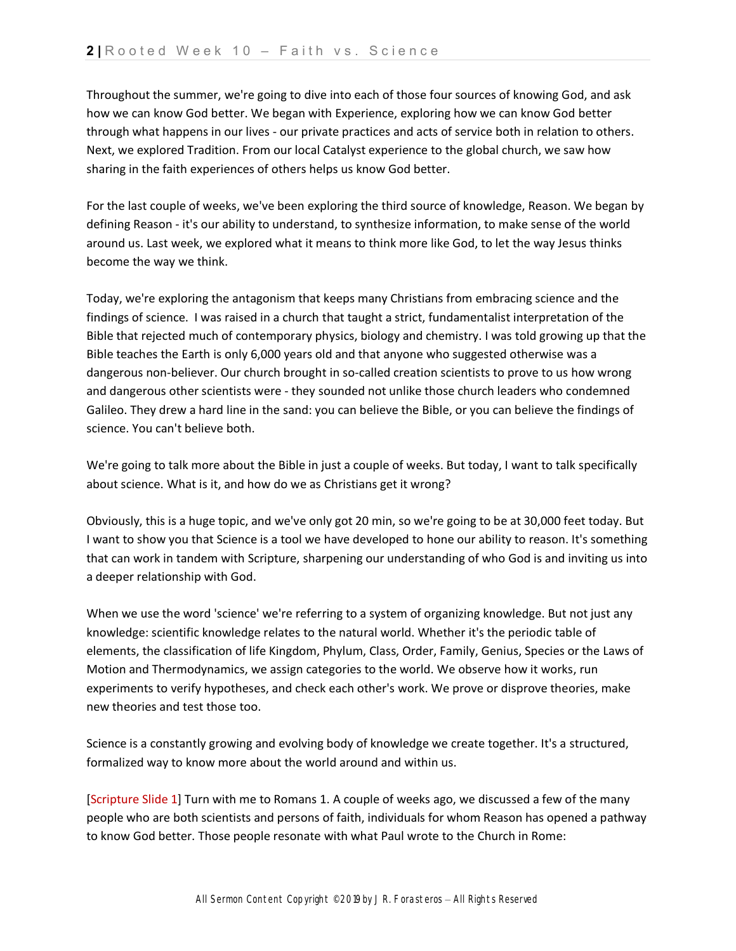Throughout the summer, we're going to dive into each of those four sources of knowing God, and ask how we can know God better. We began with Experience, exploring how we can know God better through what happens in our lives - our private practices and acts of service both in relation to others. Next, we explored Tradition. From our local Catalyst experience to the global church, we saw how sharing in the faith experiences of others helps us know God better.

For the last couple of weeks, we've been exploring the third source of knowledge, Reason. We began by defining Reason - it's our ability to understand, to synthesize information, to make sense of the world around us. Last week, we explored what it means to think more like God, to let the way Jesus thinks become the way we think.

Today, we're exploring the antagonism that keeps many Christians from embracing science and the findings of science. I was raised in a church that taught a strict, fundamentalist interpretation of the Bible that rejected much of contemporary physics, biology and chemistry. I was told growing up that the Bible teaches the Earth is only 6,000 years old and that anyone who suggested otherwise was a dangerous non-believer. Our church brought in so-called creation scientists to prove to us how wrong and dangerous other scientists were - they sounded not unlike those church leaders who condemned Galileo. They drew a hard line in the sand: you can believe the Bible, or you can believe the findings of science. You can't believe both.

We're going to talk more about the Bible in just a couple of weeks. But today, I want to talk specifically about science. What is it, and how do we as Christians get it wrong?

Obviously, this is a huge topic, and we've only got 20 min, so we're going to be at 30,000 feet today. But I want to show you that Science is a tool we have developed to hone our ability to reason. It's something that can work in tandem with Scripture, sharpening our understanding of who God is and inviting us into a deeper relationship with God.

When we use the word 'science' we're referring to a system of organizing knowledge. But not just any knowledge: scientific knowledge relates to the natural world. Whether it's the periodic table of elements, the classification of life Kingdom, Phylum, Class, Order, Family, Genius, Species or the Laws of Motion and Thermodynamics, we assign categories to the world. We observe how it works, run experiments to verify hypotheses, and check each other's work. We prove or disprove theories, make new theories and test those too.

Science is a constantly growing and evolving body of knowledge we create together. It's a structured, formalized way to know more about the world around and within us.

[Scripture Slide 1] Turn with me to Romans 1. A couple of weeks ago, we discussed a few of the many people who are both scientists and persons of faith, individuals for whom Reason has opened a pathway to know God better. Those people resonate with what Paul wrote to the Church in Rome: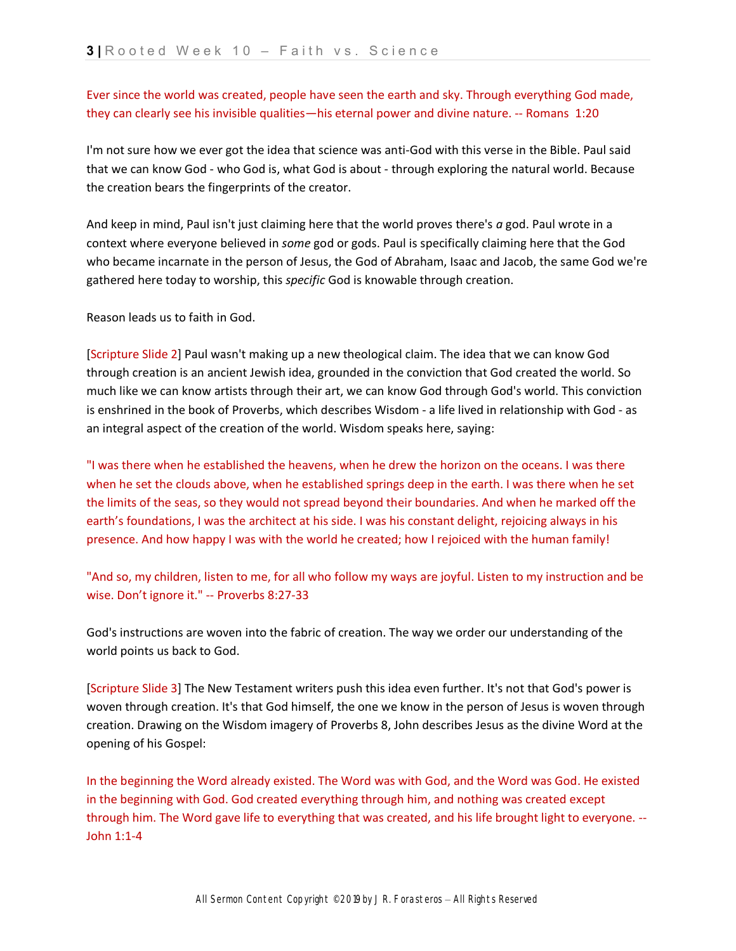Ever since the world was created, people have seen the earth and sky. Through everything God made, they can clearly see his invisible qualities—his eternal power and divine nature. -- Romans 1:20

I'm not sure how we ever got the idea that science was anti-God with this verse in the Bible. Paul said that we can know God - who God is, what God is about - through exploring the natural world. Because the creation bears the fingerprints of the creator.

And keep in mind, Paul isn't just claiming here that the world proves there's *a* god. Paul wrote in a context where everyone believed in *some* god or gods. Paul is specifically claiming here that the God who became incarnate in the person of Jesus, the God of Abraham, Isaac and Jacob, the same God we're gathered here today to worship, this *specific* God is knowable through creation.

Reason leads us to faith in God.

[Scripture Slide 2] Paul wasn't making up a new theological claim. The idea that we can know God through creation is an ancient Jewish idea, grounded in the conviction that God created the world. So much like we can know artists through their art, we can know God through God's world. This conviction is enshrined in the book of Proverbs, which describes Wisdom - a life lived in relationship with God - as an integral aspect of the creation of the world. Wisdom speaks here, saying:

"I was there when he established the heavens, when he drew the horizon on the oceans. I was there when he set the clouds above, when he established springs deep in the earth. I was there when he set the limits of the seas, so they would not spread beyond their boundaries. And when he marked off the earth's foundations, I was the architect at his side. I was his constant delight, rejoicing always in his presence. And how happy I was with the world he created; how I rejoiced with the human family!

"And so, my children, listen to me, for all who follow my ways are joyful. Listen to my instruction and be wise. Don't ignore it." -- Proverbs 8:27-33

God's instructions are woven into the fabric of creation. The way we order our understanding of the world points us back to God.

[Scripture Slide 3] The New Testament writers push this idea even further. It's not that God's power is woven through creation. It's that God himself, the one we know in the person of Jesus is woven through creation. Drawing on the Wisdom imagery of Proverbs 8, John describes Jesus as the divine Word at the opening of his Gospel:

In the beginning the Word already existed. The Word was with God, and the Word was God. He existed in the beginning with God. God created everything through him, and nothing was created except through him. The Word gave life to everything that was created, and his life brought light to everyone. -- John 1:1-4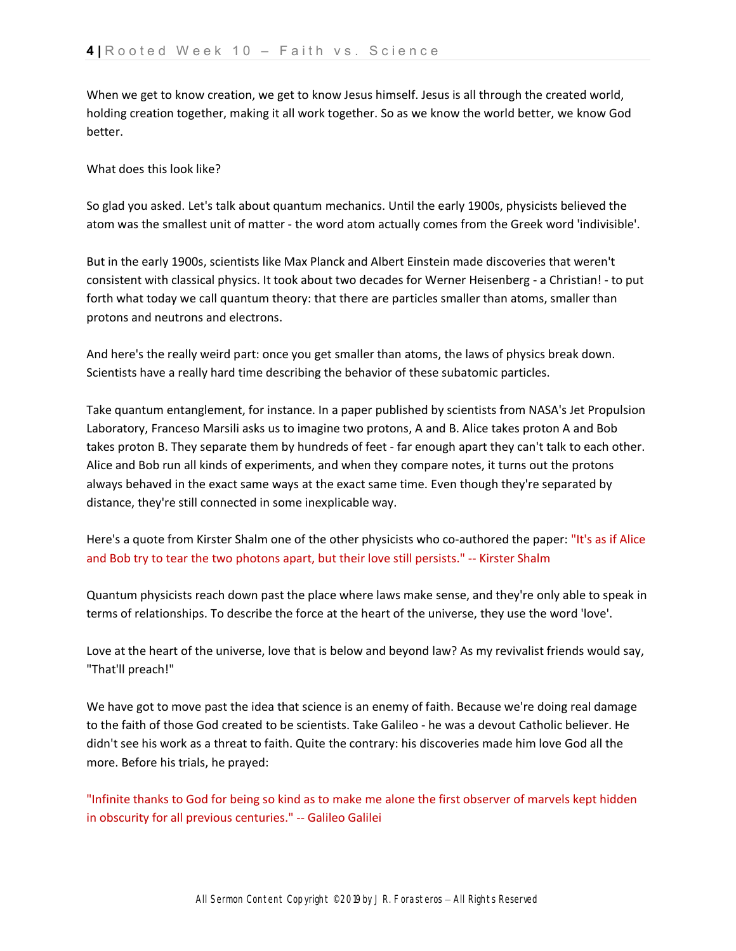When we get to know creation, we get to know Jesus himself. Jesus is all through the created world, holding creation together, making it all work together. So as we know the world better, we know God better.

What does this look like?

So glad you asked. Let's talk about quantum mechanics. Until the early 1900s, physicists believed the atom was the smallest unit of matter - the word atom actually comes from the Greek word 'indivisible'.

But in the early 1900s, scientists like Max Planck and Albert Einstein made discoveries that weren't consistent with classical physics. It took about two decades for Werner Heisenberg - a Christian! - to put forth what today we call quantum theory: that there are particles smaller than atoms, smaller than protons and neutrons and electrons.

And here's the really weird part: once you get smaller than atoms, the laws of physics break down. Scientists have a really hard time describing the behavior of these subatomic particles.

Take quantum entanglement, for instance. In a paper published by scientists from NASA's Jet Propulsion Laboratory, Franceso Marsili asks us to imagine two protons, A and B. Alice takes proton A and Bob takes proton B. They separate them by hundreds of feet - far enough apart they can't talk to each other. Alice and Bob run all kinds of experiments, and when they compare notes, it turns out the protons always behaved in the exact same ways at the exact same time. Even though they're separated by distance, they're still connected in some inexplicable way.

Here's a quote from Kirster Shalm one of the other physicists who co-authored the paper: "It's as if Alice and Bob try to tear the two photons apart, but their love still persists." -- Kirster Shalm

Quantum physicists reach down past the place where laws make sense, and they're only able to speak in terms of relationships. To describe the force at the heart of the universe, they use the word 'love'.

Love at the heart of the universe, love that is below and beyond law? As my revivalist friends would say, "That'll preach!"

We have got to move past the idea that science is an enemy of faith. Because we're doing real damage to the faith of those God created to be scientists. Take Galileo - he was a devout Catholic believer. He didn't see his work as a threat to faith. Quite the contrary: his discoveries made him love God all the more. Before his trials, he prayed:

"Infinite thanks to God for being so kind as to make me alone the first observer of marvels kept hidden in obscurity for all previous centuries." -- Galileo Galilei